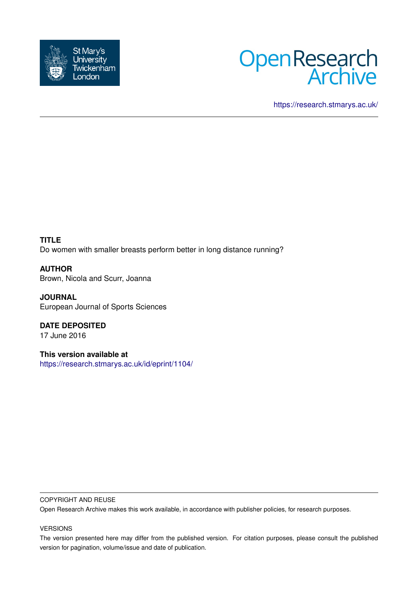



<https://research.stmarys.ac.uk/>

**TITLE** Do women with smaller breasts perform better in long distance running?

**AUTHOR** Brown, Nicola and Scurr, Joanna

**JOURNAL** European Journal of Sports Sciences

**DATE DEPOSITED** 17 June 2016

**This version available at** <https://research.stmarys.ac.uk/id/eprint/1104/>

#### COPYRIGHT AND REUSE

Open Research Archive makes this work available, in accordance with publisher policies, for research purposes.

#### VERSIONS

The version presented here may differ from the published version. For citation purposes, please consult the published version for pagination, volume/issue and date of publication.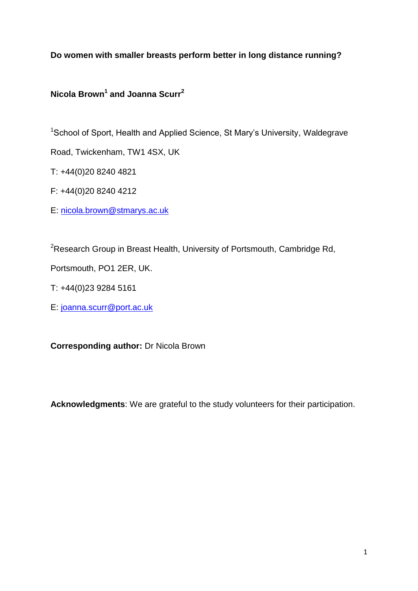**Do women with smaller breasts perform better in long distance running?** 

# **Nicola Brown<sup>1</sup> and Joanna Scurr<sup>2</sup>**

<sup>1</sup>School of Sport, Health and Applied Science, St Mary's University, Waldegrave

Road, Twickenham, TW1 4SX, UK

T: +44(0)20 8240 4821

F: +44(0)20 8240 4212

E: [nicola.brown@stmarys.ac.uk](mailto:nicola.brown@stmarys.ac.uk)

<sup>2</sup>Research Group in Breast Health, University of Portsmouth, Cambridge Rd,

Portsmouth, PO1 2ER, UK.

T: +44(0)23 9284 5161

E: [joanna.scurr@port.ac.uk](mailto:joanna.scurr@port.ac.uk)

**Corresponding author:** Dr Nicola Brown

**Acknowledgments**: We are grateful to the study volunteers for their participation.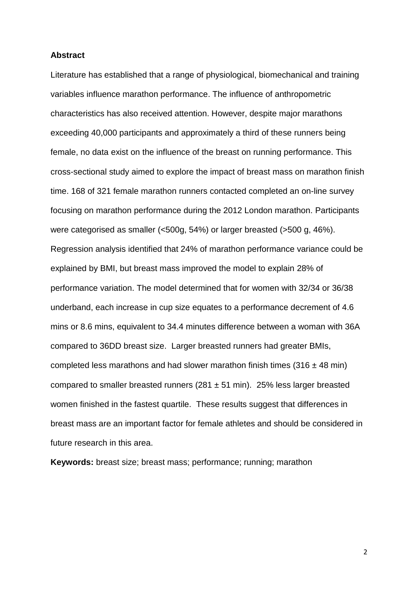#### **Abstract**

Literature has established that a range of physiological, biomechanical and training variables influence marathon performance. The influence of anthropometric characteristics has also received attention. However, despite major marathons exceeding 40,000 participants and approximately a third of these runners being female, no data exist on the influence of the breast on running performance. This cross-sectional study aimed to explore the impact of breast mass on marathon finish time. 168 of 321 female marathon runners contacted completed an on-line survey focusing on marathon performance during the 2012 London marathon. Participants were categorised as smaller (<500g, 54%) or larger breasted (>500 g, 46%). Regression analysis identified that 24% of marathon performance variance could be explained by BMI, but breast mass improved the model to explain 28% of performance variation. The model determined that for women with 32/34 or 36/38 underband, each increase in cup size equates to a performance decrement of 4.6 mins or 8.6 mins, equivalent to 34.4 minutes difference between a woman with 36A compared to 36DD breast size. Larger breasted runners had greater BMIs, completed less marathons and had slower marathon finish times (316  $\pm$  48 min) compared to smaller breasted runners (281  $\pm$  51 min). 25% less larger breasted women finished in the fastest quartile. These results suggest that differences in breast mass are an important factor for female athletes and should be considered in future research in this area.

**Keywords:** breast size; breast mass; performance; running; marathon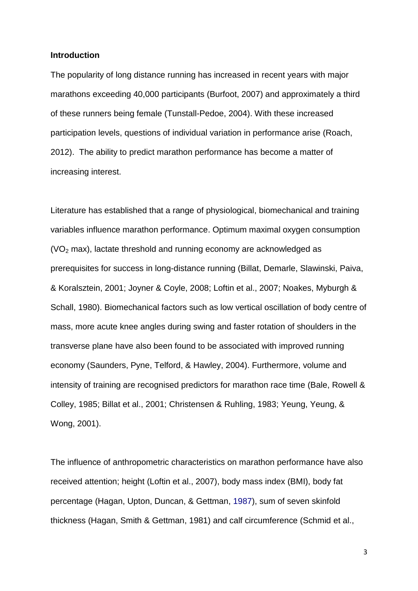#### **Introduction**

The popularity of long distance running has increased in recent years with major marathons exceeding 40,000 participants (Burfoot, 2007) and approximately a third of these runners being female (Tunstall-Pedoe, 2004). With these increased participation levels, questions of individual variation in performance arise (Roach, 2012). The ability to predict marathon performance has become a matter of increasing interest.

Literature has established that a range of physiological, biomechanical and training variables influence marathon performance. Optimum maximal oxygen consumption  $(VO<sub>2</sub>$  max), lactate threshold and running economy are acknowledged as prerequisites for success in long-distance running (Billat, Demarle, Slawinski, Paiva, & Koralsztein, 2001; Joyner & Coyle, 2008; Loftin et al., 2007; Noakes, Myburgh & Schall, 1980). Biomechanical factors such as low vertical oscillation of body centre of mass, more acute knee angles during swing and faster rotation of shoulders in the transverse plane have also been found to be associated with improved running economy (Saunders, Pyne, Telford, & Hawley, 2004). Furthermore, volume and intensity of training are recognised predictors for marathon race time (Bale, Rowell & Colley, 1985; Billat et al., 2001; Christensen & Ruhling, 1983; Yeung, Yeung, & Wong, 2001).

The influence of anthropometric characteristics on marathon performance have also received attention; height (Loftin et al., 2007), body mass index (BMI), body fat percentage (Hagan, Upton, Duncan, & Gettman, 1987), sum of seven skinfold thickness (Hagan, Smith & Gettman, 1981) and calf circumference (Schmid et al.,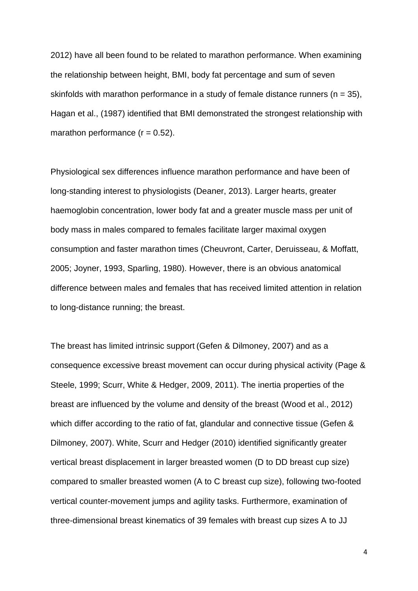2012) have all been found to be related to marathon performance. When examining the relationship between height, BMI, body fat percentage and sum of seven skinfolds with marathon performance in a study of female distance runners ( $n = 35$ ), Hagan et al., (1987) identified that BMI demonstrated the strongest relationship with marathon performance  $(r = 0.52)$ .

Physiological sex differences influence marathon performance and have been of long-standing interest to physiologists (Deaner, 2013). Larger hearts, greater haemoglobin concentration, lower body fat and a greater muscle mass per unit of body mass in males compared to females facilitate larger maximal oxygen consumption and faster marathon times (Cheuvront, Carter, Deruisseau, & Moffatt, 2005; Joyner, 1993, Sparling, 1980). However, there is an obvious anatomical difference between males and females that has received limited attention in relation to long-distance running; the breast.

The breast has limited intrinsic support (Gefen & Dilmoney, 2007) and as a consequence excessive breast movement can occur during physical activity (Page & Steele, 1999; Scurr, White & Hedger, 2009, 2011). The inertia properties of the breast are influenced by the volume and density of the breast (Wood et al., 2012) which differ according to the ratio of fat, glandular and connective tissue (Gefen & Dilmoney, 2007). White, Scurr and Hedger (2010) identified significantly greater vertical breast displacement in larger breasted women (D to DD breast cup size) compared to smaller breasted women (A to C breast cup size), following two-footed vertical counter-movement jumps and agility tasks. Furthermore, examination of three-dimensional breast kinematics of 39 females with breast cup sizes A to JJ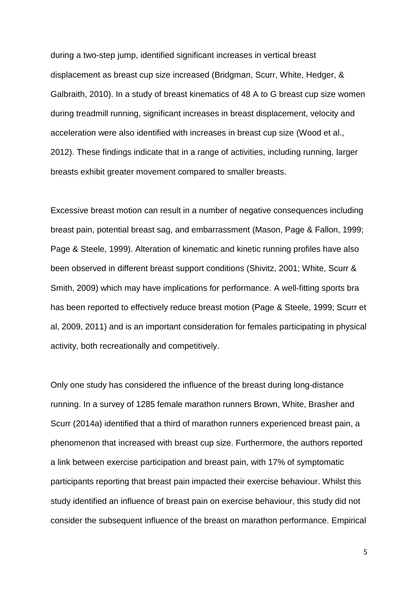during a two-step jump, identified significant increases in vertical breast displacement as breast cup size increased (Bridgman, Scurr, White, Hedger, & Galbraith, 2010). In a study of breast kinematics of 48 A to G breast cup size women during treadmill running, significant increases in breast displacement, velocity and acceleration were also identified with increases in breast cup size (Wood et al., 2012). These findings indicate that in a range of activities, including running, larger breasts exhibit greater movement compared to smaller breasts.

Excessive breast motion can result in a number of negative consequences including breast pain, potential breast sag, and embarrassment (Mason, Page & Fallon, 1999; Page & Steele, 1999). Alteration of kinematic and kinetic running profiles have also been observed in different breast support conditions (Shivitz, 2001; White, Scurr & Smith, 2009) which may have implications for performance. A well-fitting sports bra has been reported to effectively reduce breast motion (Page & Steele, 1999; Scurr et al, 2009, 2011) and is an important consideration for females participating in physical activity, both recreationally and competitively.

Only one study has considered the influence of the breast during long-distance running. In a survey of 1285 female marathon runners Brown, White, Brasher and Scurr (2014a) identified that a third of marathon runners experienced breast pain, a phenomenon that increased with breast cup size. Furthermore, the authors reported a link between exercise participation and breast pain, with 17% of symptomatic participants reporting that breast pain impacted their exercise behaviour. Whilst this study identified an influence of breast pain on exercise behaviour, this study did not consider the subsequent influence of the breast on marathon performance. Empirical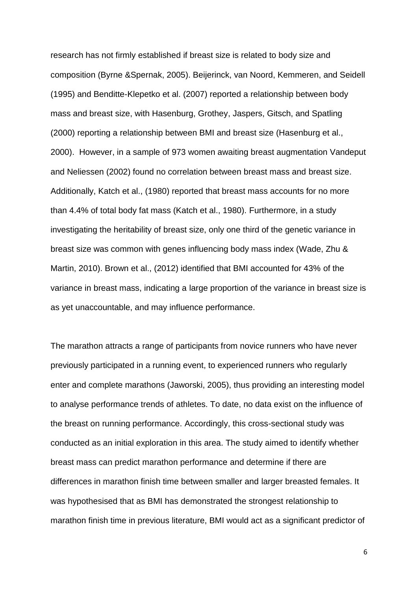research has not firmly established if breast size is related to body size and composition (Byrne &Spernak, 2005). Beijerinck, van Noord, Kemmeren, and Seidell (1995) and Benditte-Klepetko et al. (2007) reported a relationship between body mass and breast size, with Hasenburg, Grothey, Jaspers, Gitsch, and Spatling (2000) reporting a relationship between BMI and breast size (Hasenburg et al., 2000). However, in a sample of 973 women awaiting breast augmentation Vandeput and Neliessen (2002) found no correlation between breast mass and breast size. Additionally, Katch et al., (1980) reported that breast mass accounts for no more than 4.4% of total body fat mass (Katch et al., 1980). Furthermore, in a study investigating the heritability of breast size, only one third of the genetic variance in breast size was common with genes influencing body mass index (Wade, Zhu & Martin, 2010). Brown et al., (2012) identified that BMI accounted for 43% of the variance in breast mass, indicating a large proportion of the variance in breast size is as yet unaccountable, and may influence performance.

The marathon attracts a range of participants from novice runners who have never previously participated in a running event, to experienced runners who regularly enter and complete marathons (Jaworski, 2005), thus providing an interesting model to analyse performance trends of athletes. To date, no data exist on the influence of the breast on running performance. Accordingly, this cross-sectional study was conducted as an initial exploration in this area. The study aimed to identify whether breast mass can predict marathon performance and determine if there are differences in marathon finish time between smaller and larger breasted females. It was hypothesised that as BMI has demonstrated the strongest relationship to marathon finish time in previous literature, BMI would act as a significant predictor of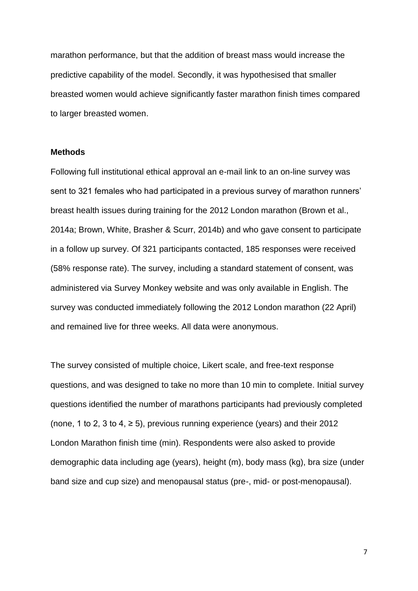marathon performance, but that the addition of breast mass would increase the predictive capability of the model. Secondly, it was hypothesised that smaller breasted women would achieve significantly faster marathon finish times compared to larger breasted women.

## **Methods**

Following full institutional ethical approval an e-mail link to an on-line survey was sent to 321 females who had participated in a previous survey of marathon runners' breast health issues during training for the 2012 London marathon (Brown et al., 2014a; Brown, White, Brasher & Scurr, 2014b) and who gave consent to participate in a follow up survey. Of 321 participants contacted, 185 responses were received (58% response rate). The survey, including a standard statement of consent, was administered via Survey Monkey website and was only available in English. The survey was conducted immediately following the 2012 London marathon (22 April) and remained live for three weeks. All data were anonymous.

The survey consisted of multiple choice, Likert scale, and free-text response questions, and was designed to take no more than 10 min to complete. Initial survey questions identified the number of marathons participants had previously completed (none, 1 to 2, 3 to 4,  $\ge$  5), previous running experience (years) and their 2012 London Marathon finish time (min). Respondents were also asked to provide demographic data including age (years), height (m), body mass (kg), bra size (under band size and cup size) and menopausal status (pre-, mid- or post-menopausal).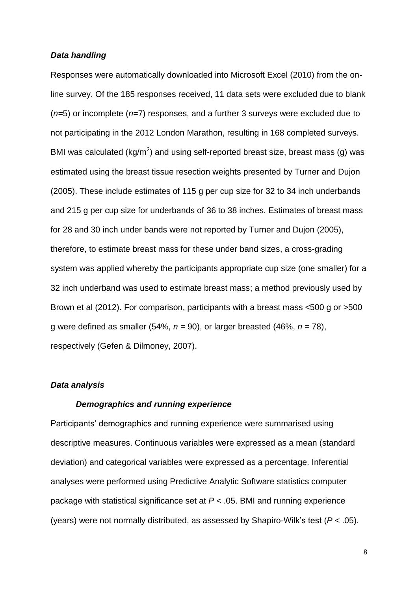#### *Data handling*

Responses were automatically downloaded into Microsoft Excel (2010) from the online survey. Of the 185 responses received, 11 data sets were excluded due to blank (*n=*5) or incomplete (*n=*7) responses, and a further 3 surveys were excluded due to not participating in the 2012 London Marathon, resulting in 168 completed surveys. BMI was calculated (kg/m<sup>2</sup>) and using self-reported breast size, breast mass (g) was estimated using the breast tissue resection weights presented by Turner and Dujon (2005). These include estimates of 115 g per cup size for 32 to 34 inch underbands and 215 g per cup size for underbands of 36 to 38 inches. Estimates of breast mass for 28 and 30 inch under bands were not reported by Turner and Dujon (2005), therefore, to estimate breast mass for these under band sizes, a cross-grading system was applied whereby the participants appropriate cup size (one smaller) for a 32 inch underband was used to estimate breast mass; a method previously used by Brown et al (2012). For comparison, participants with a breast mass <500 g or >500 g were defined as smaller (54%,  $n = 90$ ), or larger breasted (46%,  $n = 78$ ), respectively (Gefen & Dilmoney, 2007).

## *Data analysis*

#### *Demographics and running experience*

Participants' demographics and running experience were summarised using descriptive measures. Continuous variables were expressed as a mean (standard deviation) and categorical variables were expressed as a percentage. Inferential analyses were performed using Predictive Analytic Software statistics computer package with statistical significance set at *P* < .05. BMI and running experience (years) were not normally distributed, as assessed by Shapiro-Wilk's test (*P* < .05).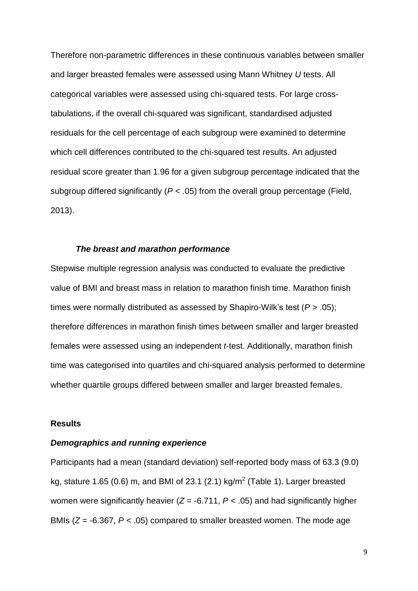Therefore non-parametric differences in these continuous variables between smaller and larger breasted females were assessed using Mann Whitney *U* tests. All categorical variables were assessed using chi-squared tests. For large crosstabulations, if the overall chi-squared was significant, standardised adjusted residuals for the cell percentage of each subgroup were examined to determine which cell differences contributed to the chi-squared test results. An adjusted residual score greater than 1.96 for a given subgroup percentage indicated that the subgroup differed significantly (*P* < .05) from the overall group percentage (Field, 2013).

#### *The breast and marathon performance*

Stepwise multiple regression analysis was conducted to evaluate the predictive value of BMI and breast mass in relation to marathon finish time. Marathon finish times were normally distributed as assessed by Shapiro-Wilk's test (*P* > .05); therefore differences in marathon finish times between smaller and larger breasted females were assessed using an independent *t*-test. Additionally, marathon finish time was categorised into quartiles and chi-squared analysis performed to determine whether quartile groups differed between smaller and larger breasted females.

#### **Results**

## *Demographics and running experience*

Participants had a mean (standard deviation) self-reported body mass of 63.3 (9.0) kg, stature 1.65 (0.6) m, and BMI of 23.1 (2.1) kg/m<sup>2</sup> (Table 1). Larger breasted women were significantly heavier  $(Z = -6.711, P < .05)$  and had significantly higher BMIs (*Z* = -6.367, *P* < .05) compared to smaller breasted women. The mode age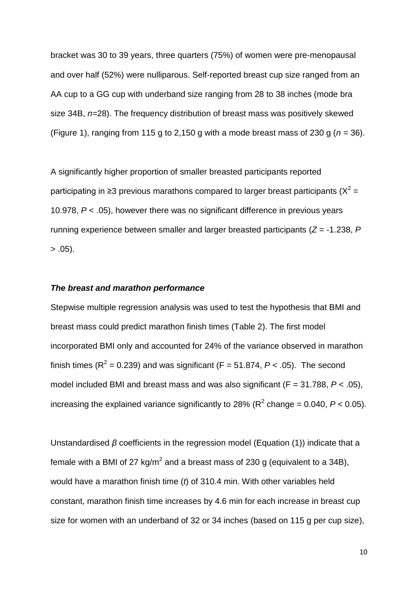bracket was 30 to 39 years, three quarters (75%) of women were pre-menopausal and over half (52%) were nulliparous. Self-reported breast cup size ranged from an AA cup to a GG cup with underband size ranging from 28 to 38 inches (mode bra size 34B, *n=*28). The frequency distribution of breast mass was positively skewed (Figure 1), ranging from 115 g to 2,150 g with a mode breast mass of 230 g ( $n = 36$ ).

A significantly higher proportion of smaller breasted participants reported participating in ≥3 previous marathons compared to larger breast participants ( $X^2 =$ 10.978, *P* < .05), however there was no significant difference in previous years running experience between smaller and larger breasted participants (*Z* = -1.238, *P*  $> .05$ ).

# *The breast and marathon performance*

Stepwise multiple regression analysis was used to test the hypothesis that BMI and breast mass could predict marathon finish times (Table 2). The first model incorporated BMI only and accounted for 24% of the variance observed in marathon finish times ( $R^2$  = 0.239) and was significant ( $F = 51.874$ ,  $P < .05$ ). The second model included BMI and breast mass and was also significant (F = 31.788, *P* < .05), increasing the explained variance significantly to 28% ( $R^2$  change = 0.040,  $P < 0.05$ ).

Unstandardised *β* coefficients in the regression model (Equation (1)) indicate that a female with a BMI of 27 kg/m<sup>2</sup> and a breast mass of 230 g (equivalent to a 34B), would have a marathon finish time (*t*) of 310.4 min. With other variables held constant, marathon finish time increases by 4.6 min for each increase in breast cup size for women with an underband of 32 or 34 inches (based on 115 g per cup size),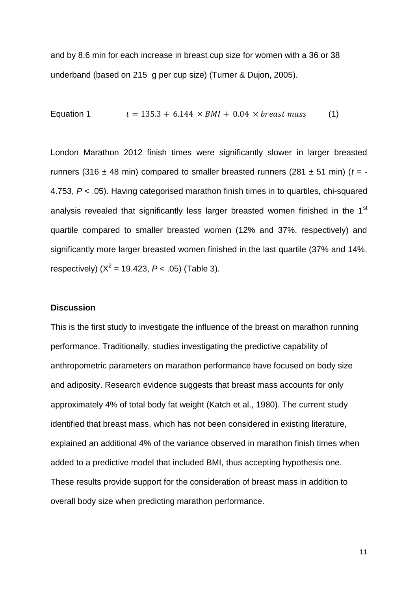and by 8.6 min for each increase in breast cup size for women with a 36 or 38 underband (based on 215 g per cup size) (Turner & Dujon, 2005).

Equation 1 
$$
t = 135.3 + 6.144 \times BMI + 0.04 \times \text{breast mass}
$$
 (1)

London Marathon 2012 finish times were significantly slower in larger breasted runners (316  $\pm$  48 min) compared to smaller breasted runners (281  $\pm$  51 min) ( $t = -$ 4.753, *P* < .05). Having categorised marathon finish times in to quartiles, chi-squared analysis revealed that significantly less larger breasted women finished in the 1<sup>st</sup> quartile compared to smaller breasted women (12% and 37%, respectively) and significantly more larger breasted women finished in the last quartile (37% and 14%, respectively)  $(X^2 = 19.423, P < .05)$  (Table 3).

## **Discussion**

This is the first study to investigate the influence of the breast on marathon running performance. Traditionally, studies investigating the predictive capability of anthropometric parameters on marathon performance have focused on body size and adiposity. Research evidence suggests that breast mass accounts for only approximately 4% of total body fat weight (Katch et al., 1980). The current study identified that breast mass, which has not been considered in existing literature, explained an additional 4% of the variance observed in marathon finish times when added to a predictive model that included BMI, thus accepting hypothesis one. These results provide support for the consideration of breast mass in addition to overall body size when predicting marathon performance.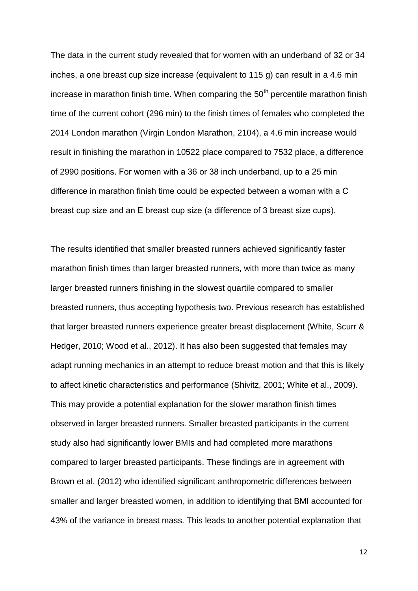The data in the current study revealed that for women with an underband of 32 or 34 inches, a one breast cup size increase (equivalent to 115 g) can result in a 4.6 min increase in marathon finish time. When comparing the  $50<sup>th</sup>$  percentile marathon finish time of the current cohort (296 min) to the finish times of females who completed the 2014 London marathon (Virgin London Marathon, 2104), a 4.6 min increase would result in finishing the marathon in 10522 place compared to 7532 place, a difference of 2990 positions. For women with a 36 or 38 inch underband, up to a 25 min difference in marathon finish time could be expected between a woman with a C breast cup size and an E breast cup size (a difference of 3 breast size cups).

The results identified that smaller breasted runners achieved significantly faster marathon finish times than larger breasted runners, with more than twice as many larger breasted runners finishing in the slowest quartile compared to smaller breasted runners, thus accepting hypothesis two. Previous research has established that larger breasted runners experience greater breast displacement (White, Scurr & Hedger, 2010; Wood et al., 2012). It has also been suggested that females may adapt running mechanics in an attempt to reduce breast motion and that this is likely to affect kinetic characteristics and performance (Shivitz, 2001; White et al., 2009). This may provide a potential explanation for the slower marathon finish times observed in larger breasted runners. Smaller breasted participants in the current study also had significantly lower BMIs and had completed more marathons compared to larger breasted participants. These findings are in agreement with Brown et al. (2012) who identified significant anthropometric differences between smaller and larger breasted women, in addition to identifying that BMI accounted for 43% of the variance in breast mass. This leads to another potential explanation that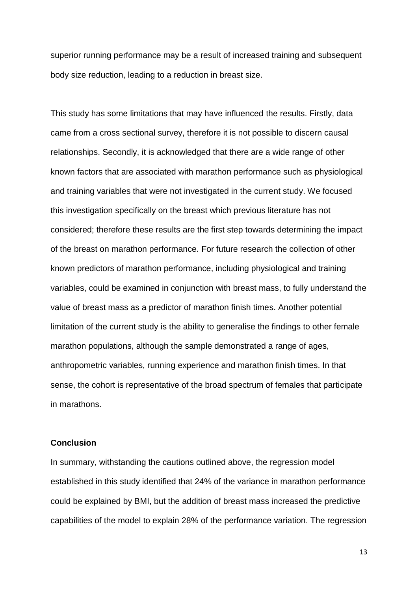superior running performance may be a result of increased training and subsequent body size reduction, leading to a reduction in breast size.

This study has some limitations that may have influenced the results. Firstly, data came from a cross sectional survey, therefore it is not possible to discern causal relationships. Secondly, it is acknowledged that there are a wide range of other known factors that are associated with marathon performance such as physiological and training variables that were not investigated in the current study. We focused this investigation specifically on the breast which previous literature has not considered; therefore these results are the first step towards determining the impact of the breast on marathon performance. For future research the collection of other known predictors of marathon performance, including physiological and training variables, could be examined in conjunction with breast mass, to fully understand the value of breast mass as a predictor of marathon finish times. Another potential limitation of the current study is the ability to generalise the findings to other female marathon populations, although the sample demonstrated a range of ages, anthropometric variables, running experience and marathon finish times. In that sense, the cohort is representative of the broad spectrum of females that participate in marathons.

# **Conclusion**

In summary, withstanding the cautions outlined above, the regression model established in this study identified that 24% of the variance in marathon performance could be explained by BMI, but the addition of breast mass increased the predictive capabilities of the model to explain 28% of the performance variation. The regression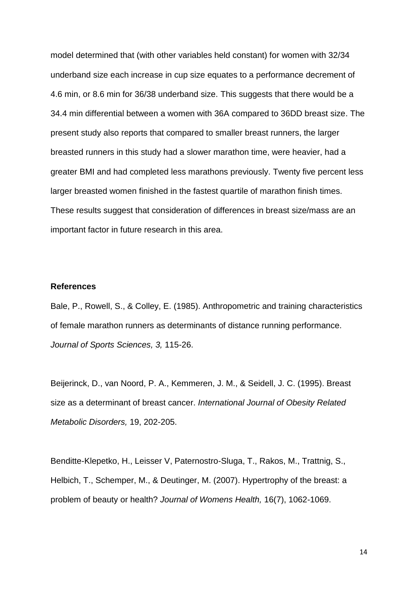model determined that (with other variables held constant) for women with 32/34 underband size each increase in cup size equates to a performance decrement of 4.6 min, or 8.6 min for 36/38 underband size. This suggests that there would be a 34.4 min differential between a women with 36A compared to 36DD breast size. The present study also reports that compared to smaller breast runners, the larger breasted runners in this study had a slower marathon time, were heavier, had a greater BMI and had completed less marathons previously. Twenty five percent less larger breasted women finished in the fastest quartile of marathon finish times. These results suggest that consideration of differences in breast size/mass are an important factor in future research in this area.

#### **References**

Bale, P., Rowell, S., & Colley, E. (1985). Anthropometric and training characteristics of female marathon runners as determinants of distance running performance. *Journal of Sports Sciences, 3,* 115-26.

Beijerinck, D., van Noord, P. A., Kemmeren, J. M., & Seidell, J. C. (1995). Breast size as a determinant of breast cancer. *International Journal of Obesity Related Metabolic Disorders,* 19, 202-205.

Benditte-Klepetko, H., Leisser V, Paternostro-Sluga, T., Rakos, M., Trattnig, S., Helbich, T., Schemper, M., & Deutinger, M. (2007). Hypertrophy of the breast: a problem of beauty or health? *Journal of Womens Health,* 16(7), 1062-1069.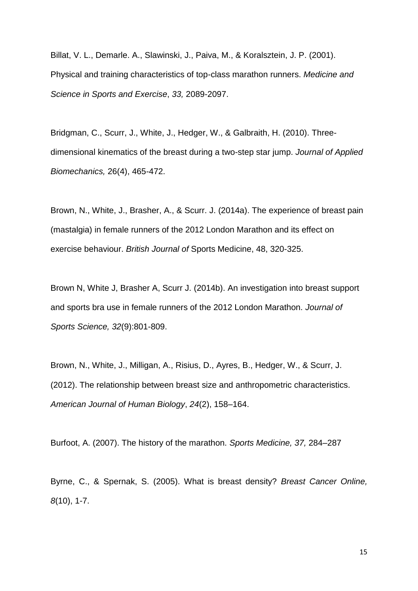Billat, V. L., Demarle. A., Slawinski, J., Paiva, M., & Koralsztein, J. P. (2001). Physical and training characteristics of top-class marathon runners. *Medicine and Science in Sports and Exercise*, *33,* 2089-2097.

Bridgman, C., Scurr, J., White, J., Hedger, W., & Galbraith, H. (2010). Threedimensional kinematics of the breast during a two-step star jump. *Journal of Applied Biomechanics,* 26(4), 465-472.

Brown, N., White, J., Brasher, A., & Scurr. J. (2014a). The experience of breast pain (mastalgia) in female runners of the 2012 London Marathon and its effect on exercise behaviour. *British Journal of* Sports Medicine, 48, 320-325.

Brown N, White J, Brasher A, Scurr J. (2014b). An investigation into breast support and sports bra use in female runners of the 2012 London Marathon. *Journal of Sports Science, 32*(9):801-809.

Brown, N., White, J., Milligan, A., Risius, D., Ayres, B., Hedger, W., & Scurr, J. (2012). The relationship between breast size and anthropometric characteristics. *American Journal of Human Biology*, *24*(2), 158–164.

Burfoot, A. (2007). The history of the marathon. *Sports Medicine, 37,* 284–287

Byrne, C., & Spernak, S. (2005). What is breast density? *Breast Cancer Online, 8*(10), 1-7.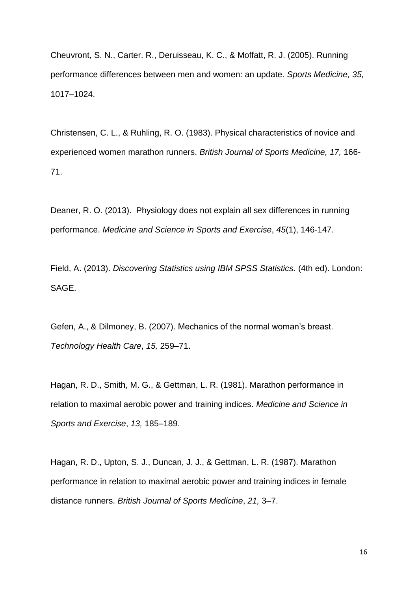Cheuvront, S. N., Carter. R., Deruisseau, K. C., & Moffatt, R. J. (2005). Running performance differences between men and women: an update. *Sports Medicine, 35,* 1017–1024.

Christensen, C. L., & Ruhling, R. O. (1983). Physical characteristics of novice and experienced women marathon runners. *British Journal of Sports Medicine, 17,* 166- 71.

Deaner, R. O. (2013). Physiology does not explain all sex differences in running performance. *Medicine and Science in Sports and Exercise*, *45*(1), 146-147.

Field, A. (2013). *Discovering Statistics using IBM SPSS Statistics.* (4th ed). London: SAGE.

Gefen, A., & Dilmoney, B. (2007). Mechanics of the normal woman's breast. *Technology Health Care*, *15,* 259–71.

Hagan, R. D., Smith, M. G., & Gettman, L. R. (1981). Marathon performance in relation to maximal aerobic power and training indices. *Medicine and Science in Sports and Exercise*, *13,* 185–189.

Hagan, R. D., Upton, S. J., Duncan, J. J., & Gettman, L. R. (1987). Marathon performance in relation to maximal aerobic power and training indices in female distance runners. *British Journal of Sports Medicine*, *21,* 3–7.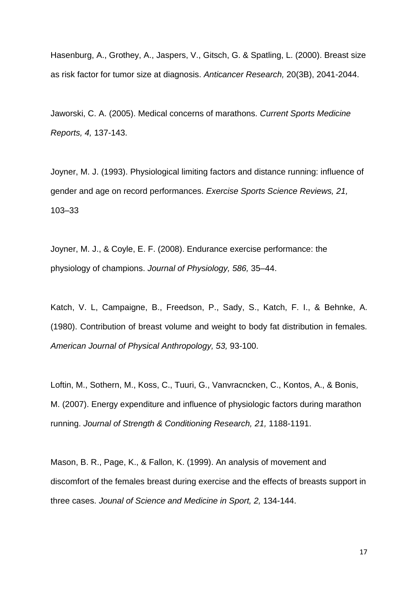Hasenburg, A., Grothey, A., Jaspers, V., Gitsch, G. & Spatling, L. (2000). Breast size as risk factor for tumor size at diagnosis. *Anticancer Research,* 20(3B), 2041-2044.

Jaworski, C. A. (2005). Medical concerns of marathons. *Current Sports Medicine Reports, 4,* 137-143.

Joyner, M. J. (1993). Physiological limiting factors and distance running: influence of gender and age on record performances. *Exercise Sports Science Reviews, 21,* 103–33

Joyner, M. J., & Coyle, E. F. (2008). Endurance exercise performance: the physiology of champions. *Journal of Physiology, 586,* 35–44.

Katch, V. L, Campaigne, B., Freedson, P., Sady, S., Katch, F. I., & Behnke, A. (1980). Contribution of breast volume and weight to body fat distribution in females. *American Journal of Physical Anthropology, 53,* 93-100.

Loftin, M., Sothern, M., Koss, C., Tuuri, G., Vanvracncken, C., Kontos, A., & Bonis, M. (2007). Energy expenditure and influence of physiologic factors during marathon running. *Journal of Strength & Conditioning Research, 21,* 1188-1191.

Mason, B. R., Page, K., & Fallon, K. (1999). An analysis of movement and discomfort of the females breast during exercise and the effects of breasts support in three cases. *Jounal of Science and Medicine in Sport, 2,* 134-144.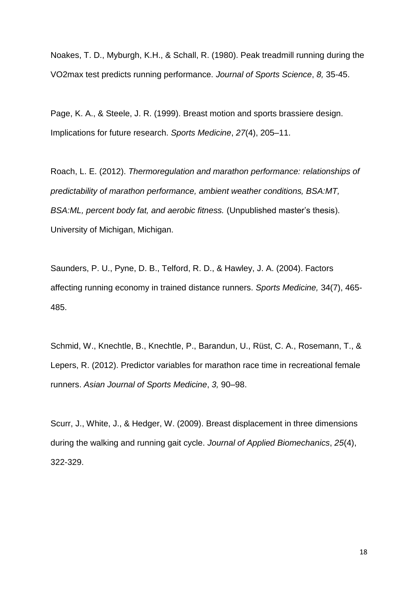Noakes, T. D., Myburgh, K.H., & Schall, R. (1980). Peak treadmill running during the VO2max test predicts running performance. *Journal of Sports Science*, *8,* 35-45.

Page, K. A., & Steele, J. R. (1999). Breast motion and sports brassiere design. Implications for future research. *Sports Medicine*, *27*(4), 205–11.

Roach, L. E. (2012). *Thermoregulation and marathon performance: relationships of predictability of marathon performance, ambient weather conditions, BSA:MT, BSA:ML, percent body fat, and aerobic fitness.* (Unpublished master's thesis). University of Michigan, Michigan.

Saunders, P. U., Pyne, D. B., Telford, R. D., & Hawley, J. A. (2004). Factors affecting running economy in trained distance runners. *Sports Medicine,* 34(7), 465- 485.

Schmid, W., Knechtle, B., Knechtle, P., Barandun, U., Rüst, C. A., Rosemann, T., & Lepers, R. (2012). Predictor variables for marathon race time in recreational female runners. *Asian Journal of Sports Medicine*, *3,* 90–98.

Scurr, J., White, J., & Hedger, W. (2009). Breast displacement in three dimensions during the walking and running gait cycle. *Journal of Applied Biomechanics*, *25*(4), 322-329.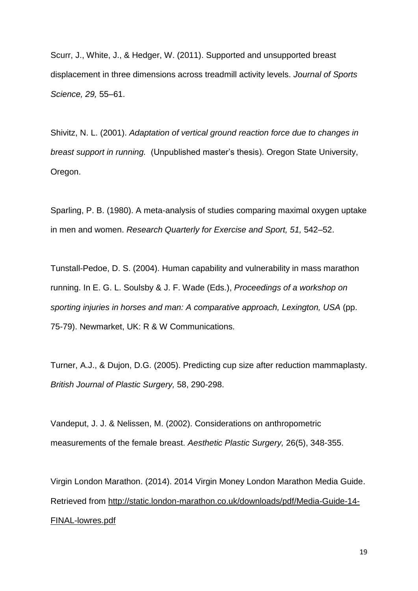Scurr, J., White, J., & Hedger, W. (2011). Supported and unsupported breast displacement in three dimensions across treadmill activity levels. *Journal of Sports Science, 29,* 55–61.

Shivitz, N. L. (2001). *Adaptation of vertical ground reaction force due to changes in breast support in running.* (Unpublished master's thesis). Oregon State University, Oregon.

Sparling, P. B. (1980). A meta-analysis of studies comparing maximal oxygen uptake in men and women. *Research Quarterly for Exercise and Sport, 51,* 542–52.

Tunstall-Pedoe, D. S. (2004). Human capability and vulnerability in mass marathon running. In E. G. L. Soulsby & J. F. Wade (Eds.), *Proceedings of a workshop on sporting injuries in horses and man: A comparative approach, Lexington, USA* (pp. 75-79). Newmarket, UK: R & W Communications.

Turner, A.J., & Dujon, D.G. (2005). Predicting cup size after reduction mammaplasty. *British Journal of Plastic Surgery,* 58, 290-298.

Vandeput, J. J. & Nelissen, M. (2002). Considerations on anthropometric measurements of the female breast. *Aesthetic Plastic Surgery,* 26(5), 348-355.

Virgin London Marathon. (2014). [2014 Virgin Money London Marathon Media Guide.](http://www.google.co.uk/url?sa=t&rct=j&q=&esrc=s&frm=1&source=web&cd=3&cad=rja&uact=8&ved=0CDQQFjAC&url=http%3A%2F%2Fstatic.london-marathon.co.uk%2Fdownloads%2Fpdf%2FMedia-Guide-14-FINAL-lowres.pdf&ei=O_ATVYyyCqGd7gaYpIHACA&usg=AFQjCNFz8PO4AlGELX6xs-rnQg2KPza2PA&sig2=MWjwyiXTiowLvkAkNWrP9A) Retrieved from [http://static.london-marathon.co.uk/downloads/pdf/Media-Guide-14-](http://static.london-marathon.co.uk/downloads/pdf/Media-Guide-14-FINAL-lowres.pdf) [FINAL-lowres.pdf](http://static.london-marathon.co.uk/downloads/pdf/Media-Guide-14-FINAL-lowres.pdf)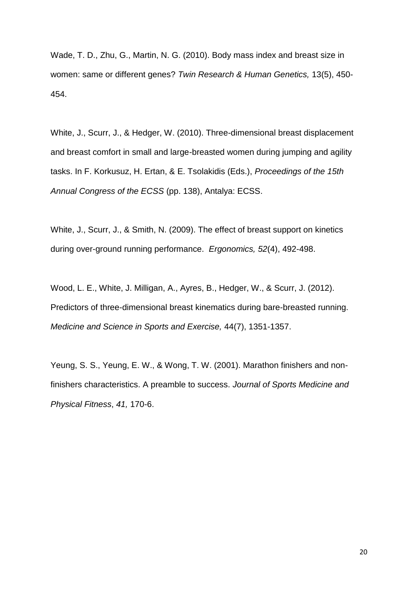Wade, T. D., Zhu, G., Martin, N. G. (2010). Body mass index and breast size in women: same or different genes? *Twin Research & Human Genetics,* 13(5), 450- 454.

White, J., Scurr, J., & Hedger, W. (2010). Three-dimensional breast displacement and breast comfort in small and large-breasted women during jumping and agility tasks. In F. Korkusuz, H. Ertan, & E. Tsolakidis (Eds.), *Proceedings of the 15th Annual Congress of the ECSS* (pp. 138), Antalya: ECSS.

White, J., Scurr, J., & Smith, N. (2009). The effect of breast support on kinetics during over-ground running performance. *Ergonomics, 52*(4), 492-498.

Wood, L. E., White, J. Milligan, A., Ayres, B., Hedger, W., & Scurr, J. (2012). Predictors of three-dimensional breast kinematics during bare-breasted running. *Medicine and Science in Sports and Exercise,* 44(7), 1351-1357.

Yeung, S. S., Yeung, E. W., & Wong, T. W. (2001). Marathon finishers and nonfinishers characteristics. A preamble to success. *Journal of Sports Medicine and Physical Fitness*, *41,* 170-6.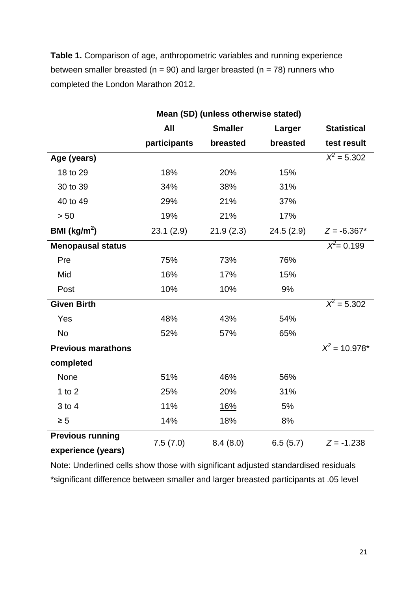**Table 1.** Comparison of age, anthropometric variables and running experience between smaller breasted ( $n = 90$ ) and larger breasted ( $n = 78$ ) runners who completed the London Marathon 2012.

|                           | Mean (SD) (unless otherwise stated) |                |           |                    |  |  |  |
|---------------------------|-------------------------------------|----------------|-----------|--------------------|--|--|--|
|                           | <b>All</b>                          | <b>Smaller</b> | Larger    | <b>Statistical</b> |  |  |  |
|                           | participants                        | breasted       | breasted  | test result        |  |  |  |
| Age (years)               |                                     |                |           | $X^2 = 5.302$      |  |  |  |
| 18 to 29                  | 18%                                 | 20%            | 15%       |                    |  |  |  |
| 30 to 39                  | 34%                                 | 38%            | 31%       |                    |  |  |  |
| 40 to 49                  | 29%                                 | 21%            | 37%       |                    |  |  |  |
| > 50                      | 19%                                 | 21%            | 17%       |                    |  |  |  |
| BMI ( $\text{kg/m}^2$ )   | 23.1(2.9)                           | 21.9(2.3)      | 24.5(2.9) | $Z = -6.367*$      |  |  |  |
| Menopausal status         |                                     |                |           | $X^2 = 0.199$      |  |  |  |
| Pre                       | 75%                                 | 73%            | 76%       |                    |  |  |  |
| Mid                       | 16%                                 | 17%            | 15%       |                    |  |  |  |
| Post                      | 10%                                 | 10%            | 9%        |                    |  |  |  |
| <b>Given Birth</b>        |                                     |                |           | $X^2 = 5.302$      |  |  |  |
| Yes                       | 48%                                 | 43%            | 54%       |                    |  |  |  |
| <b>No</b>                 | 52%                                 | 57%            | 65%       |                    |  |  |  |
| <b>Previous marathons</b> |                                     |                |           | $X^2 = 10.978^*$   |  |  |  |
| completed                 |                                     |                |           |                    |  |  |  |
| None                      | 51%                                 | 46%            | 56%       |                    |  |  |  |
| 1 to $2$                  | 25%                                 | 20%            | 31%       |                    |  |  |  |
| $3$ to $4$                | 11%                                 | <u>16%</u>     | 5%        |                    |  |  |  |
| $\geq 5$                  | 14%                                 | <u>18%</u>     | 8%        |                    |  |  |  |
| <b>Previous running</b>   | 7.5(7.0)                            | 8.4(8.0)       | 6.5(5.7)  | $Z = -1.238$       |  |  |  |
| experience (years)        |                                     |                |           |                    |  |  |  |

Note: Underlined cells show those with significant adjusted standardised residuals \*significant difference between smaller and larger breasted participants at .05 level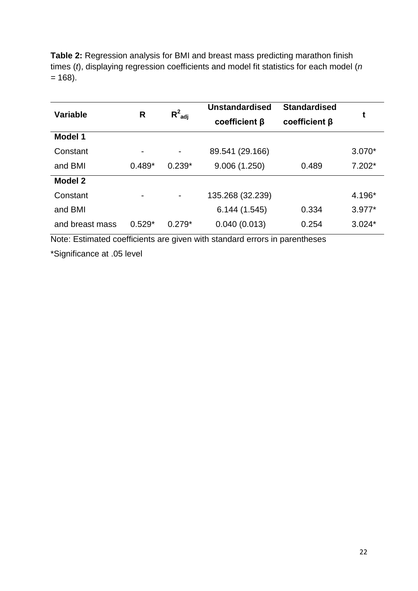**Table 2:** Regression analysis for BMI and breast mass predicting marathon finish times (*t*), displaying regression coefficients and model fit statistics for each model (*n =* 168).

| <b>Variable</b> | R                        | $R^2_{\text{adi}}$           | <b>Unstandardised</b><br>$coefficient \beta$ | <b>Standardised</b><br>$coefficient \beta$ | t        |  |
|-----------------|--------------------------|------------------------------|----------------------------------------------|--------------------------------------------|----------|--|
| <b>Model 1</b>  |                          |                              |                                              |                                            |          |  |
| Constant        | $\overline{\phantom{0}}$ | $\qquad \qquad \blacksquare$ | 89.541 (29.166)                              |                                            | $3.070*$ |  |
| and BMI         | $0.489*$                 | $0.239*$                     | 9.006(1.250)                                 | 0.489                                      | $7.202*$ |  |
| <b>Model 2</b>  |                          |                              |                                              |                                            |          |  |
| Constant        | $\overline{\phantom{0}}$ |                              | 135.268 (32.239)                             |                                            | 4.196*   |  |
| and BMI         |                          |                              | 6.144(1.545)                                 | 0.334                                      | $3.977*$ |  |
| and breast mass | $0.529*$                 | $0.279*$                     | 0.040(0.013)                                 | 0.254                                      | $3.024*$ |  |

Note: Estimated coefficients are given with standard errors in parentheses

\*Significance at .05 level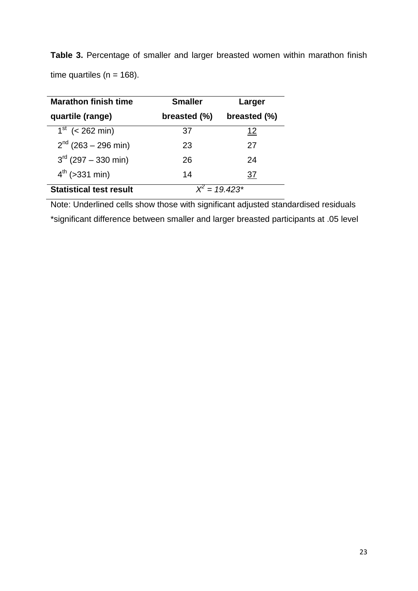| <b>Table 3.</b> Percentage of smaller and larger breasted women within marathon finish |  |  |  |  |  |
|----------------------------------------------------------------------------------------|--|--|--|--|--|
| time quartiles ( $n = 168$ ).                                                          |  |  |  |  |  |

| <b>Marathon finish time</b>    | <b>Smaller</b> | Larger           |  |
|--------------------------------|----------------|------------------|--|
| quartile (range)               | breasted (%)   | breasted (%)     |  |
| $1^{st}$ (< 262 min)           | 37             | <u> 12</u>       |  |
| $2^{nd}$ (263 – 296 min)       | 23             | 27               |  |
| $3^{rd}$ (297 – 330 min)       | 26             | 24               |  |
| $4^{th}$ (>331 min)            | 14             | 37               |  |
| <b>Statistical test result</b> |                | $X^2 = 19.423^*$ |  |

Note: Underlined cells show those with significant adjusted standardised residuals \*significant difference between smaller and larger breasted participants at .05 level